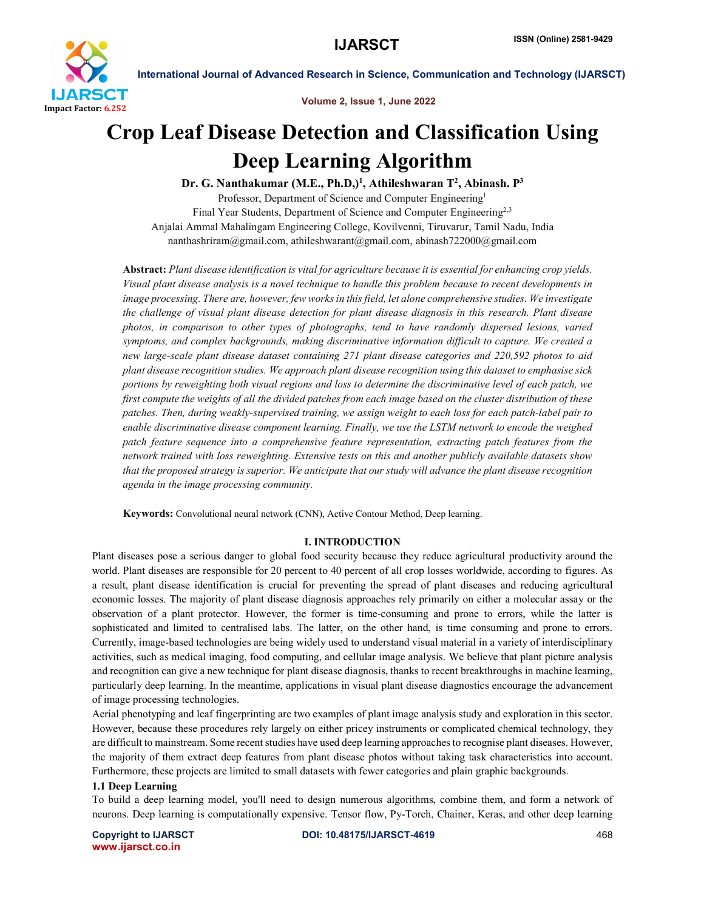

Volume 2, Issue 1, June 2022

# Crop Leaf Disease Detection and Classification Using Deep Learning Algorithm

Dr. G. Nanthakumar (M.E., Ph.D,)<sup>1</sup>, Athileshwaran T<sup>2</sup>, Abinash. P<sup>3</sup> Professor, Department of Science and Computer Engineering<sup>1</sup>

Final Year Students, Department of Science and Computer Engineering<sup>2,3</sup> Anjalai Ammal Mahalingam Engineering College, Kovilvenni, Tiruvarur, Tamil Nadu, India nanthashriram@gmail.com, athileshwarant@gmail.com, abinash722000@gmail.com

Abstract: *Plant disease identification is vital for agriculture because it is essential for enhancing crop yields. Visual plant disease analysis is a novel technique to handle this problem because to recent developments in image processing. There are, however, few works in this field, let alone comprehensive studies. We investigate the challenge of visual plant disease detection for plant disease diagnosis in this research. Plant disease photos, in comparison to other types of photographs, tend to have randomly dispersed lesions, varied symptoms, and complex backgrounds, making discriminative information difficult to capture. We created a new large-scale plant disease dataset containing 271 plant disease categories and 220,592 photos to aid plant disease recognition studies. We approach plant disease recognition using this dataset to emphasise sick portions by reweighting both visual regions and loss to determine the discriminative level of each patch, we first compute the weights of all the divided patches from each image based on the cluster distribution of these patches. Then, during weakly-supervised training, we assign weight to each loss for each patch-label pair to enable discriminative disease component learning. Finally, we use the LSTM network to encode the weighed patch feature sequence into a comprehensive feature representation, extracting patch features from the network trained with loss reweighting. Extensive tests on this and another publicly available datasets show that the proposed strategy is superior. We anticipate that our study will advance the plant disease recognition agenda in the image processing community.*

Keywords: Convolutional neural network (CNN), Active Contour Method, Deep learning.

# I. INTRODUCTION

Plant diseases pose a serious danger to global food security because they reduce agricultural productivity around the world. Plant diseases are responsible for 20 percent to 40 percent of all crop losses worldwide, according to figures. As a result, plant disease identification is crucial for preventing the spread of plant diseases and reducing agricultural economic losses. The majority of plant disease diagnosis approaches rely primarily on either a molecular assay or the observation of a plant protector. However, the former is time-consuming and prone to errors, while the latter is sophisticated and limited to centralised labs. The latter, on the other hand, is time consuming and prone to errors. Currently, image-based technologies are being widely used to understand visual material in a variety of interdisciplinary activities, such as medical imaging, food computing, and cellular image analysis. We believe that plant picture analysis and recognition can give a new technique for plant disease diagnosis, thanks to recent breakthroughs in machine learning, particularly deep learning. In the meantime, applications in visual plant disease diagnostics encourage the advancement of image processing technologies.

Aerial phenotyping and leaf fingerprinting are two examples of plant image analysis study and exploration in this sector. However, because these procedures rely largely on either pricey instruments or complicated chemical technology, they are difficult to mainstream. Some recent studies have used deep learning approaches to recognise plant diseases. However, the majority of them extract deep features from plant disease photos without taking task characteristics into account. Furthermore, these projects are limited to small datasets with fewer categories and plain graphic backgrounds.

# 1.1 Deep Learning

To build a deep learning model, you'll need to design numerous algorithms, combine them, and form a network of neurons. Deep learning is computationally expensive. Tensor flow, Py-Torch, Chainer, Keras, and other deep learning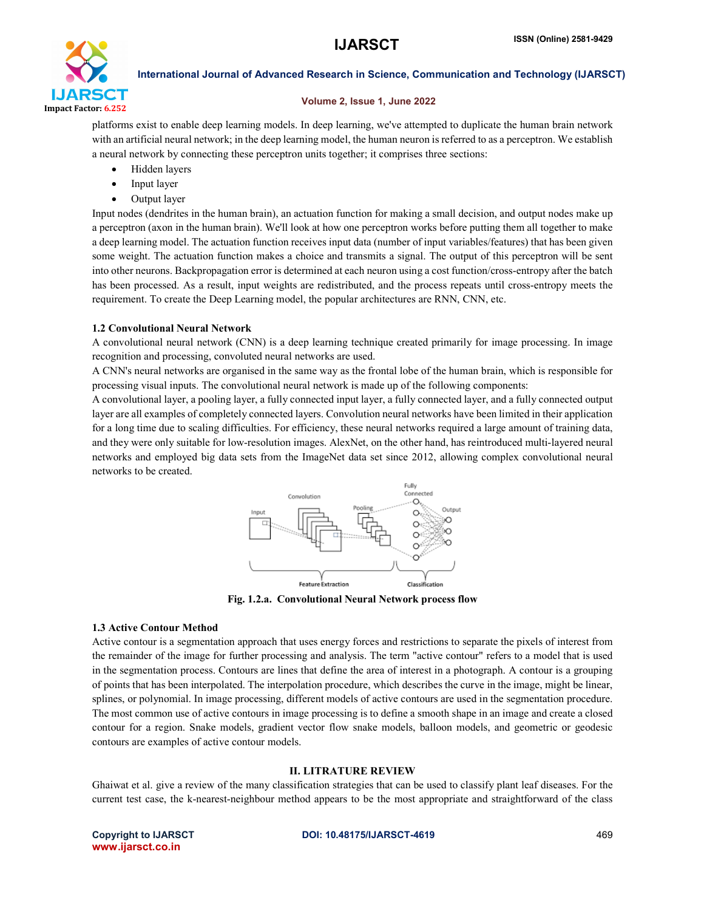

# Volume 2, Issue 1, June 2022

platforms exist to enable deep learning models. In deep learning, we've attempted to duplicate the human brain network with an artificial neural network; in the deep learning model, the human neuron is referred to as a perceptron. We establish a neural network by connecting these perceptron units together; it comprises three sections:

- Hidden layers
- Input layer
- Output layer

Input nodes (dendrites in the human brain), an actuation function for making a small decision, and output nodes make up a perceptron (axon in the human brain). We'll look at how one perceptron works before putting them all together to make a deep learning model. The actuation function receives input data (number of input variables/features) that has been given some weight. The actuation function makes a choice and transmits a signal. The output of this perceptron will be sent into other neurons. Backpropagation error is determined at each neuron using a cost function/cross-entropy after the batch has been processed. As a result, input weights are redistributed, and the process repeats until cross-entropy meets the requirement. To create the Deep Learning model, the popular architectures are RNN, CNN, etc.

# 1.2 Convolutional Neural Network

A convolutional neural network (CNN) is a deep learning technique created primarily for image processing. In image recognition and processing, convoluted neural networks are used.

A CNN's neural networks are organised in the same way as the frontal lobe of the human brain, which is responsible for processing visual inputs. The convolutional neural network is made up of the following components:

A convolutional layer, a pooling layer, a fully connected input layer, a fully connected layer, and a fully connected output layer are all examples of completely connected layers. Convolution neural networks have been limited in their application for a long time due to scaling difficulties. For efficiency, these neural networks required a large amount of training data, and they were only suitable for low-resolution images. AlexNet, on the other hand, has reintroduced multi-layered neural networks and employed big data sets from the ImageNet data set since 2012, allowing complex convolutional neural networks to be created.



Fig. 1.2.a. Convolutional Neural Network process flow

# 1.3 Active Contour Method

Active contour is a segmentation approach that uses energy forces and restrictions to separate the pixels of interest from the remainder of the image for further processing and analysis. The term "active contour" refers to a model that is used in the segmentation process. Contours are lines that define the area of interest in a photograph. A contour is a grouping of points that has been interpolated. The interpolation procedure, which describes the curve in the image, might be linear, splines, or polynomial. In image processing, different models of active contours are used in the segmentation procedure. The most common use of active contours in image processing is to define a smooth shape in an image and create a closed contour for a region. Snake models, gradient vector flow snake models, balloon models, and geometric or geodesic contours are examples of active contour models.

# II. LITRATURE REVIEW

Ghaiwat et al. give a review of the many classification strategies that can be used to classify plant leaf diseases. For the current test case, the k-nearest-neighbour method appears to be the most appropriate and straightforward of the class

www.ijarsct.co.in

# Copyright to IJARSCT **DOI: 10.48175/IJARSCT-4619** 469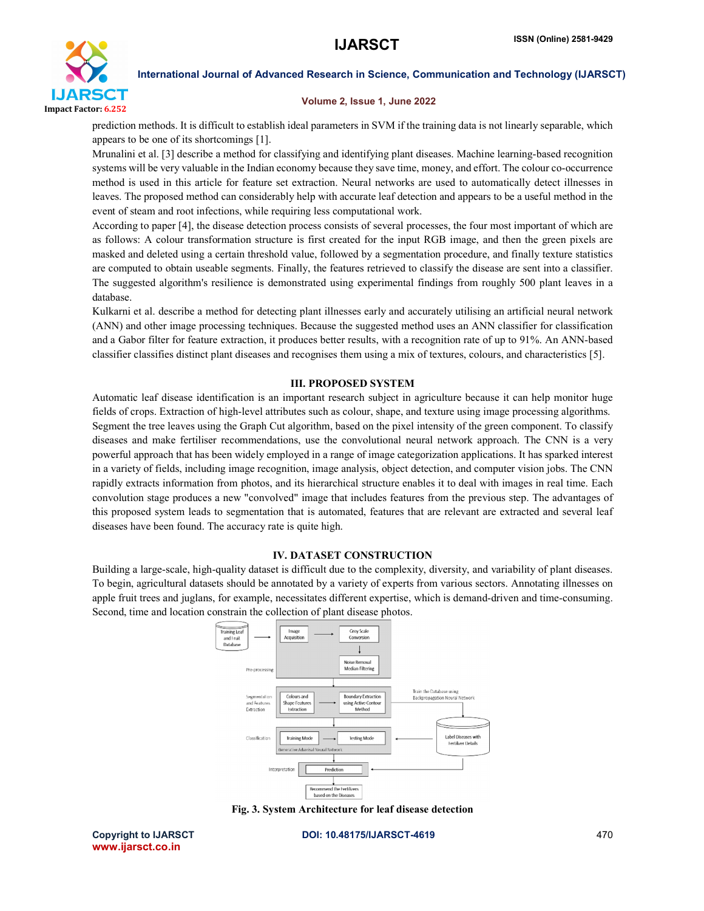

# Volume 2, Issue 1, June 2022

prediction methods. It is difficult to establish ideal parameters in SVM if the training data is not linearly separable, which appears to be one of its shortcomings [1].

Mrunalini et al. [3] describe a method for classifying and identifying plant diseases. Machine learning-based recognition systems will be very valuable in the Indian economy because they save time, money, and effort. The colour co-occurrence method is used in this article for feature set extraction. Neural networks are used to automatically detect illnesses in leaves. The proposed method can considerably help with accurate leaf detection and appears to be a useful method in the event of steam and root infections, while requiring less computational work.

According to paper [4], the disease detection process consists of several processes, the four most important of which are as follows: A colour transformation structure is first created for the input RGB image, and then the green pixels are masked and deleted using a certain threshold value, followed by a segmentation procedure, and finally texture statistics are computed to obtain useable segments. Finally, the features retrieved to classify the disease are sent into a classifier. The suggested algorithm's resilience is demonstrated using experimental findings from roughly 500 plant leaves in a database.

Kulkarni et al. describe a method for detecting plant illnesses early and accurately utilising an artificial neural network (ANN) and other image processing techniques. Because the suggested method uses an ANN classifier for classification and a Gabor filter for feature extraction, it produces better results, with a recognition rate of up to 91%. An ANN-based classifier classifies distinct plant diseases and recognises them using a mix of textures, colours, and characteristics [5].

# III. PROPOSED SYSTEM

Automatic leaf disease identification is an important research subject in agriculture because it can help monitor huge fields of crops. Extraction of high-level attributes such as colour, shape, and texture using image processing algorithms. Segment the tree leaves using the Graph Cut algorithm, based on the pixel intensity of the green component. To classify diseases and make fertiliser recommendations, use the convolutional neural network approach. The CNN is a very powerful approach that has been widely employed in a range of image categorization applications. It has sparked interest in a variety of fields, including image recognition, image analysis, object detection, and computer vision jobs. The CNN rapidly extracts information from photos, and its hierarchical structure enables it to deal with images in real time. Each convolution stage produces a new "convolved" image that includes features from the previous step. The advantages of this proposed system leads to segmentation that is automated, features that are relevant are extracted and several leaf diseases have been found. The accuracy rate is quite high.

# IV. DATASET CONSTRUCTION

Building a large-scale, high-quality dataset is difficult due to the complexity, diversity, and variability of plant diseases. To begin, agricultural datasets should be annotated by a variety of experts from various sectors. Annotating illnesses on apple fruit trees and juglans, for example, necessitates different expertise, which is demand-driven and time-consuming. Second, time and location constrain the collection of plant disease photos.



Fig. 3. System Architecture for leaf disease detection

www.ijarsct.co.in

Copyright to IJARSCT **DOI: 10.48175/IJARSCT-4619** 470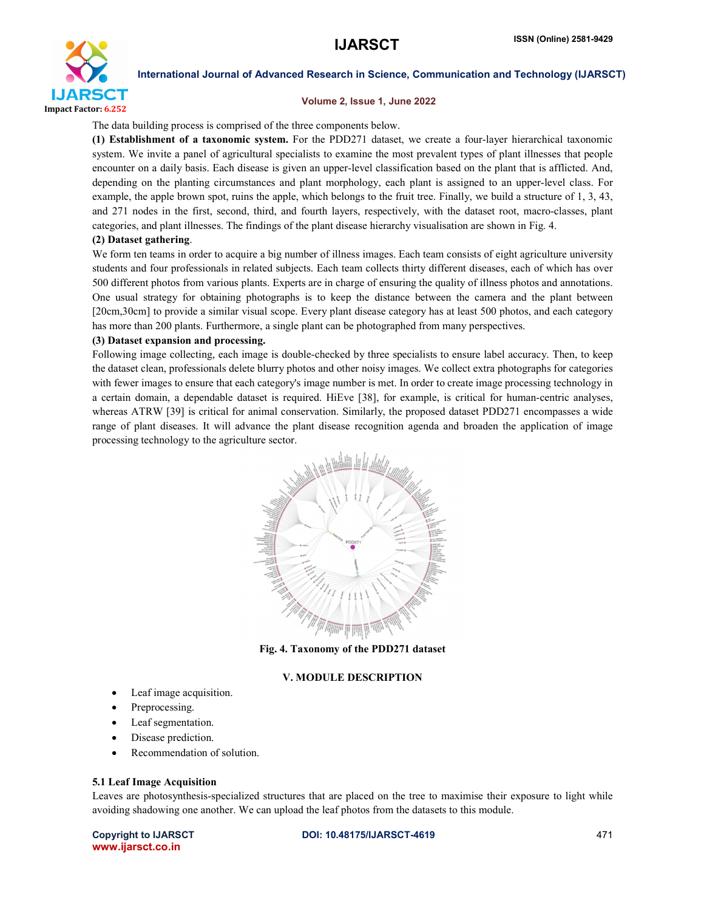

### Volume 2, Issue 1, June 2022

The data building process is comprised of the three components below.

(1) Establishment of a taxonomic system. For the PDD271 dataset, we create a four-layer hierarchical taxonomic system. We invite a panel of agricultural specialists to examine the most prevalent types of plant illnesses that people encounter on a daily basis. Each disease is given an upper-level classification based on the plant that is afflicted. And, depending on the planting circumstances and plant morphology, each plant is assigned to an upper-level class. For example, the apple brown spot, ruins the apple, which belongs to the fruit tree. Finally, we build a structure of 1, 3, 43, and 271 nodes in the first, second, third, and fourth layers, respectively, with the dataset root, macro-classes, plant categories, and plant illnesses. The findings of the plant disease hierarchy visualisation are shown in Fig. 4.

### (2) Dataset gathering.

We form ten teams in order to acquire a big number of illness images. Each team consists of eight agriculture university students and four professionals in related subjects. Each team collects thirty different diseases, each of which has over 500 different photos from various plants. Experts are in charge of ensuring the quality of illness photos and annotations. One usual strategy for obtaining photographs is to keep the distance between the camera and the plant between [20cm,30cm] to provide a similar visual scope. Every plant disease category has at least 500 photos, and each category has more than 200 plants. Furthermore, a single plant can be photographed from many perspectives.

### (3) Dataset expansion and processing.

Following image collecting, each image is double-checked by three specialists to ensure label accuracy. Then, to keep the dataset clean, professionals delete blurry photos and other noisy images. We collect extra photographs for categories with fewer images to ensure that each category's image number is met. In order to create image processing technology in a certain domain, a dependable dataset is required. HiEve [38], for example, is critical for human-centric analyses, whereas ATRW [39] is critical for animal conservation. Similarly, the proposed dataset PDD271 encompasses a wide range of plant diseases. It will advance the plant disease recognition agenda and broaden the application of image processing technology to the agriculture sector.



Fig. 4. Taxonomy of the PDD271 dataset

# V. MODULE DESCRIPTION

- Leaf image acquisition.
- Preprocessing.
- Leaf segmentation.
- Disease prediction.
- Recommendation of solution.

### 5.1 Leaf Image Acquisition

Leaves are photosynthesis-specialized structures that are placed on the tree to maximise their exposure to light while avoiding shadowing one another. We can upload the leaf photos from the datasets to this module.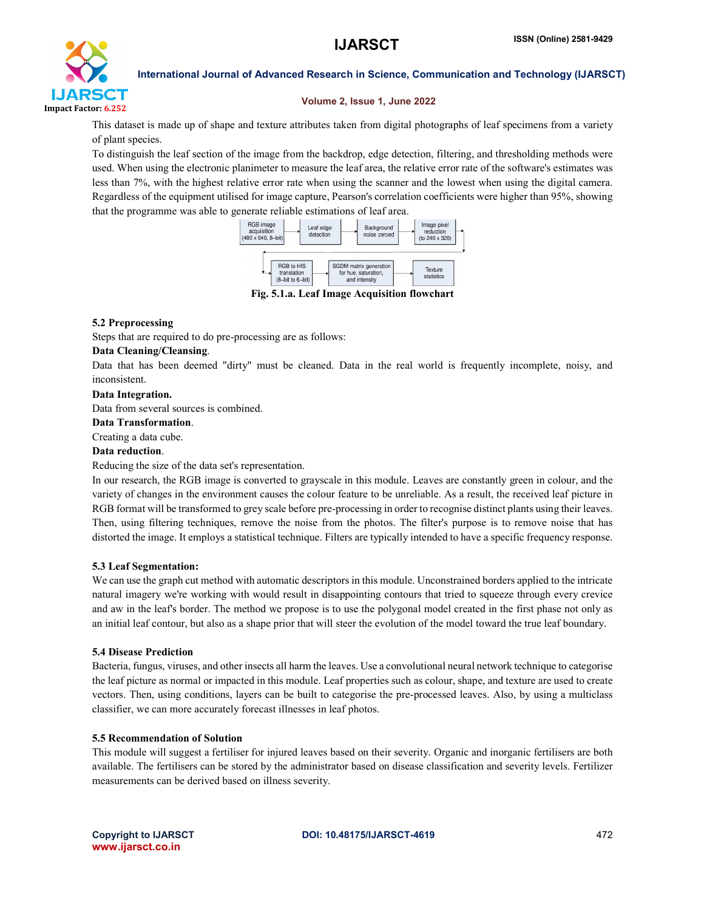

# Volume 2, Issue 1, June 2022

This dataset is made up of shape and texture attributes taken from digital photographs of leaf specimens from a variety of plant species.

To distinguish the leaf section of the image from the backdrop, edge detection, filtering, and thresholding methods were used. When using the electronic planimeter to measure the leaf area, the relative error rate of the software's estimates was less than 7%, with the highest relative error rate when using the scanner and the lowest when using the digital camera. Regardless of the equipment utilised for image capture, Pearson's correlation coefficients were higher than 95%, showing that the programme was able to generate reliable estimations of leaf area.



Fig. 5.1.a. Leaf Image Acquisition flowchart

# 5.2 Preprocessing

Steps that are required to do pre-processing are as follows:

# Data Cleaning/Cleansing.

Data that has been deemed "dirty" must be cleaned. Data in the real world is frequently incomplete, noisy, and inconsistent.

# Data Integration.

Data from several sources is combined.

# Data Transformation.

Creating a data cube.

# Data reduction.

Reducing the size of the data set's representation.

In our research, the RGB image is converted to grayscale in this module. Leaves are constantly green in colour, and the variety of changes in the environment causes the colour feature to be unreliable. As a result, the received leaf picture in RGB format will be transformed to grey scale before pre-processing in order to recognise distinct plants using their leaves. Then, using filtering techniques, remove the noise from the photos. The filter's purpose is to remove noise that has distorted the image. It employs a statistical technique. Filters are typically intended to have a specific frequency response.

# 5.3 Leaf Segmentation:

We can use the graph cut method with automatic descriptors in this module. Unconstrained borders applied to the intricate natural imagery we're working with would result in disappointing contours that tried to squeeze through every crevice and aw in the leaf's border. The method we propose is to use the polygonal model created in the first phase not only as an initial leaf contour, but also as a shape prior that will steer the evolution of the model toward the true leaf boundary.

# 5.4 Disease Prediction

Bacteria, fungus, viruses, and other insects all harm the leaves. Use a convolutional neural network technique to categorise the leaf picture as normal or impacted in this module. Leaf properties such as colour, shape, and texture are used to create vectors. Then, using conditions, layers can be built to categorise the pre-processed leaves. Also, by using a multiclass classifier, we can more accurately forecast illnesses in leaf photos.

# 5.5 Recommendation of Solution

This module will suggest a fertiliser for injured leaves based on their severity. Organic and inorganic fertilisers are both available. The fertilisers can be stored by the administrator based on disease classification and severity levels. Fertilizer measurements can be derived based on illness severity.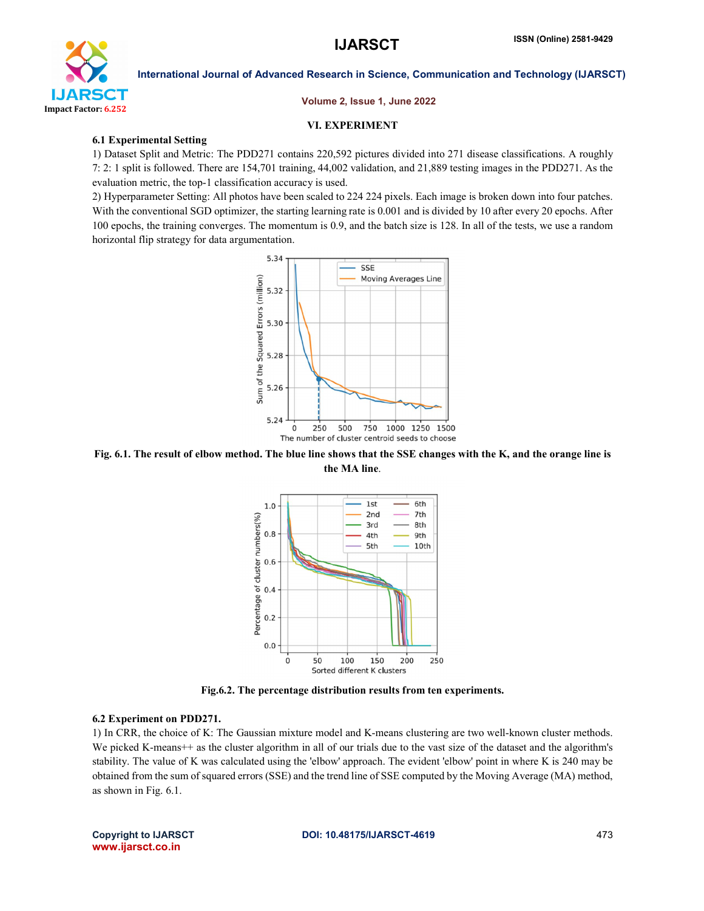

### Volume 2, Issue 1, June 2022

# VI. EXPERIMENT

# 6.1 Experimental Setting

1) Dataset Split and Metric: The PDD271 contains 220,592 pictures divided into 271 disease classifications. A roughly 7: 2: 1 split is followed. There are 154,701 training, 44,002 validation, and 21,889 testing images in the PDD271. As the evaluation metric, the top-1 classification accuracy is used.

2) Hyperparameter Setting: All photos have been scaled to 224 224 pixels. Each image is broken down into four patches. With the conventional SGD optimizer, the starting learning rate is 0.001 and is divided by 10 after every 20 epochs. After 100 epochs, the training converges. The momentum is 0.9, and the batch size is 128. In all of the tests, we use a random horizontal flip strategy for data argumentation.



Fig. 6.1. The result of elbow method. The blue line shows that the SSE changes with the K, and the orange line is the MA line.



Fig.6.2. The percentage distribution results from ten experiments.

# 6.2 Experiment on PDD271.

1) In CRR, the choice of K: The Gaussian mixture model and K-means clustering are two well-known cluster methods. We picked K-means++ as the cluster algorithm in all of our trials due to the vast size of the dataset and the algorithm's stability. The value of K was calculated using the 'elbow' approach. The evident 'elbow' point in where K is 240 may be obtained from the sum of squared errors (SSE) and the trend line of SSE computed by the Moving Average (MA) method, as shown in Fig. 6.1.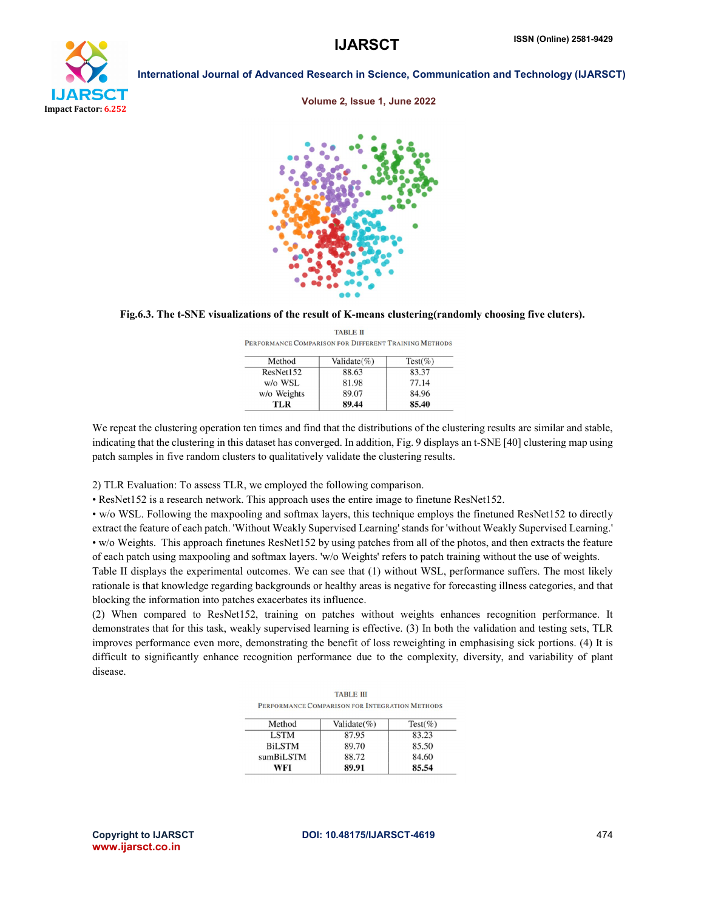

Volume 2, Issue 1, June 2022



Fig.6.3. The t-SNE visualizations of the result of K-means clustering(randomly choosing five cluters). TADI E II

|             | PERFORMANCE COMPARISON FOR DIFFERENT TRAINING METHODS |            |
|-------------|-------------------------------------------------------|------------|
| Method      | Validate $(\%)$                                       | $Test(\%)$ |
| ResNet152   | 88.63                                                 | 83.37      |
| w/o WSL     | 81.98                                                 | 77.14      |
| w/o Weights | 89.07                                                 | 84.96      |
| TLR         | 89.44                                                 | 85.40      |

We repeat the clustering operation ten times and find that the distributions of the clustering results are similar and stable, indicating that the clustering in this dataset has converged. In addition, Fig. 9 displays an t-SNE [40] clustering map using patch samples in five random clusters to qualitatively validate the clustering results.

2) TLR Evaluation: To assess TLR, we employed the following comparison.

• ResNet152 is a research network. This approach uses the entire image to finetune ResNet152.

• w/o WSL. Following the maxpooling and softmax layers, this technique employs the finetuned ResNet152 to directly extract the feature of each patch. 'Without Weakly Supervised Learning' stands for 'without Weakly Supervised Learning.' • w/o Weights. This approach finetunes ResNet152 by using patches from all of the photos, and then extracts the feature of each patch using maxpooling and softmax layers. 'w/o Weights' refers to patch training without the use of weights. Table II displays the experimental outcomes. We can see that (1) without WSL, performance suffers. The most likely rationale is that knowledge regarding backgrounds or healthy areas is negative for forecasting illness categories, and that blocking the information into patches exacerbates its influence.

(2) When compared to ResNet152, training on patches without weights enhances recognition performance. It demonstrates that for this task, weakly supervised learning is effective. (3) In both the validation and testing sets, TLR improves performance even more, demonstrating the benefit of loss reweighting in emphasising sick portions. (4) It is difficult to significantly enhance recognition performance due to the complexity, diversity, and variability of plant disease.

| <b>TABLE III</b>                               |  |  |
|------------------------------------------------|--|--|
| PERFORMANCE COMPARISON FOR INTEGRATION METHODS |  |  |

| Method        | Validate $(\%)$ | $Test(\%)$ |
|---------------|-----------------|------------|
| LSTM          | 87.95           | 83.23      |
| <b>BiLSTM</b> | 89.70           | 85.50      |
| sumBiLSTM     | 88.72           | 84.60      |
| WFI           | 89.91           | 85.54      |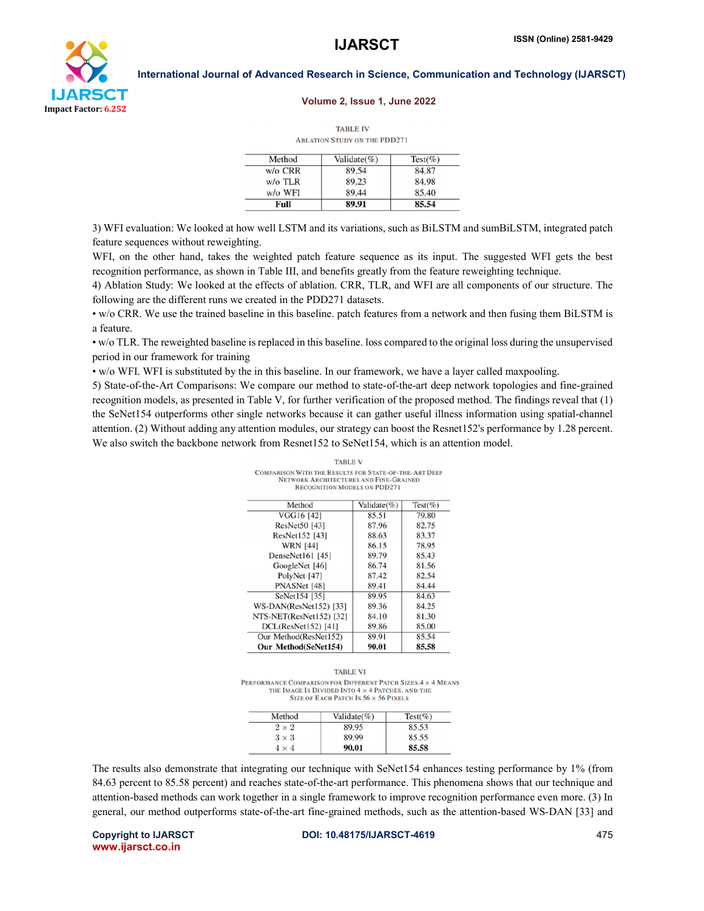

### Volume 2, Issue 1, June 2022

**TABLE IV ABLATION STUDY ON THE PDD271** 

| Method             | Validate $(\% )$ | $Test(\%)$ |
|--------------------|------------------|------------|
| $w$ / $\alpha$ CRR | 89.54            | 84.87      |
| $w$ / $\circ$ TLR  | 89.23            | 84.98      |
| w/o WFI            | 89.44            | 85.40      |
| Full               | 89.91            | 85.54      |

3) WFI evaluation: We looked at how well LSTM and its variations, such as BiLSTM and sumBiLSTM, integrated patch feature sequences without reweighting.

WFI, on the other hand, takes the weighted patch feature sequence as its input. The suggested WFI gets the best recognition performance, as shown in Table III, and benefits greatly from the feature reweighting technique.

4) Ablation Study: We looked at the effects of ablation. CRR, TLR, and WFI are all components of our structure. The following are the different runs we created in the PDD271 datasets.

• w/o CRR. We use the trained baseline in this baseline. patch features from a network and then fusing them BiLSTM is a feature.

• w/o TLR. The reweighted baseline is replaced in this baseline. loss compared to the original loss during the unsupervised period in our framework for training

• w/o WFI. WFI is substituted by the in this baseline. In our framework, we have a layer called maxpooling.

5) State-of-the-Art Comparisons: We compare our method to state-of-the-art deep network topologies and fine-grained recognition models, as presented in Table V, for further verification of the proposed method. The findings reveal that (1) the SeNet154 outperforms other single networks because it can gather useful illness information using spatial-channel attention. (2) Without adding any attention modules, our strategy can boost the Resnet152's performance by 1.28 percent. We also switch the backbone network from Resnet152 to SeNet154, which is an attention model.

| <b>RECOGNITION MODELS ON PIJIJZ / I</b> |             |            |
|-----------------------------------------|-------------|------------|
| Method                                  | Validate(%) | $Test(\%)$ |
| VGG16 [42]                              | 85.51       | 79.80      |
| ResNet50 [43]                           | 87.96       | 82.75      |
| ResNet152 [43]                          | 88.63       | 83.37      |
| <b>WRN</b> [44]                         | 86.15       | 78.95      |
| DenseNet161 [45]                        | 89.79       | 85.43      |
| GoogleNet [46]                          | 86.74       | 81.56      |
| PolyNet [47]                            | 87.42       | 82.54      |
| PNASNet [48]                            | 89.41       | 84.44      |
| SeNet154 [35]                           | 89.95       | 84.63      |
| WS-DAN(ResNet152) [33]                  | 89.36       | 84.25      |
| NTS-NET(ResNet152) [32]                 | 84.10       | 81.30      |
| DCL(ResNet152) [41]                     | 89.86       | 85.00      |
| Our Method(ResNet152)                   | 89.91       | 85.54      |
| Our Method(SeNet154)                    | 90.01       | 85.58      |

**TABLE V COMPARISON WITH THE RESULTS FOR STATE-OF-THE-ART DEEP** NETWORK ARCHITECTURES AND FINE-GRAINED

**TABLE VI** PERFORMANCE COMPARISON FOR DIFFERENT PATCH SIZES 4 x 4 MEANS THE IMAGE IS DIVIDED INTO 4 x 4 PATCHES, AND THE SIZE OF EACH PATCH IS  $56 \times 56$  PIXELS

| Method       | Validate $(\% )$ | $Test(\%)$ |
|--------------|------------------|------------|
| $2 \times 2$ | 89.95            | 85.53      |
| $3 \times 3$ | 89.99            | 85.55      |
| $4 \times 4$ | 90.01            | 85.58      |

The results also demonstrate that integrating our technique with SeNet154 enhances testing performance by 1% (from 84.63 percent to 85.58 percent) and reaches state-of-the-art performance. This phenomena shows that our technique and attention-based methods can work together in a single framework to improve recognition performance even more. (3) In general, our method outperforms state-of-the-art fine-grained methods, such as the attention-based WS-DAN [33] and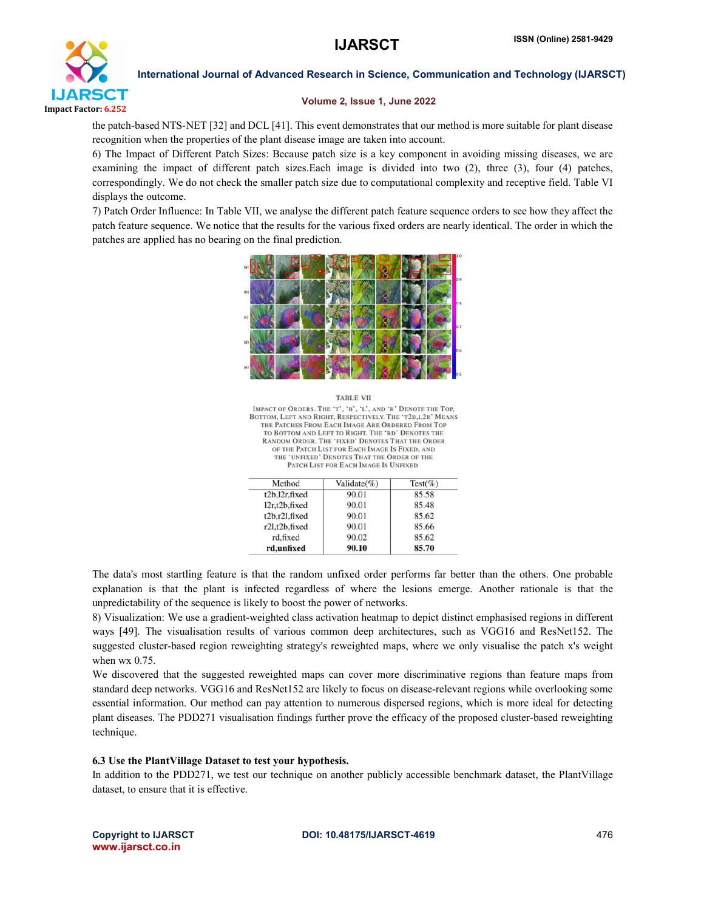

# Volume 2, Issue 1, June 2022

the patch-based NTS-NET [32] and DCL [41]. This event demonstrates that our method is more suitable for plant disease recognition when the properties of the plant disease image are taken into account.

6) The Impact of Different Patch Sizes: Because patch size is a key component in avoiding missing diseases, we are examining the impact of different patch sizes.Each image is divided into two (2), three (3), four (4) patches, correspondingly. We do not check the smaller patch size due to computational complexity and receptive field. Table VI displays the outcome.

7) Patch Order Influence: In Table VII, we analyse the different patch feature sequence orders to see how they affect the patch feature sequence. We notice that the results for the various fixed orders are nearly identical. The order in which the patches are applied has no bearing on the final prediction.



**TABLE VII** IMPACT OF ORDERS. THE 'T', 'B', 'L', AND 'R' DENOTE THE TOP,<br>BOTTOM, LEFT AND RIGHT, RESPECTIVELY. THE 'T2B, L2R' MEANS THE PATCHES FROM EACH IMAGE ARE ORDERED FROM TOP TO BOTTOM AND LEFT TO RIGHT. THE 'RD' DENOTES THE RANDOM ORDER. THE 'FIXED' DENOTES THAT THE ORDER OF THE PATCH LIST FOR EACH IMAGE IS FIXED, AND THE 'UNFIXED' DENOTES THAT THE ORDER OF THE PATCH LIST FOR EACH IMAGE IS UNFIXED

| Method        | Validate $(\%)$ | $Test(\%)$ |
|---------------|-----------------|------------|
| t2b,12r,fixed | 90.01           | 85.58      |
| 12r,t2b,fixed | 90.01           | 85.48      |
| t2b.r2l.fixed | 90.01           | 85.62      |
| r2l.t2b.fixed | 90.01           | 85.66      |
| rd.fixed      | 90.02           | 85.62      |
| rd,unfixed    | 90.10           | 85.70      |

The data's most startling feature is that the random unfixed order performs far better than the others. One probable explanation is that the plant is infected regardless of where the lesions emerge. Another rationale is that the unpredictability of the sequence is likely to boost the power of networks.

8) Visualization: We use a gradient-weighted class activation heatmap to depict distinct emphasised regions in different ways [49]. The visualisation results of various common deep architectures, such as VGG16 and ResNet152. The suggested cluster-based region reweighting strategy's reweighted maps, where we only visualise the patch x's weight when wx 0.75.

We discovered that the suggested reweighted maps can cover more discriminative regions than feature maps from standard deep networks. VGG16 and ResNet152 are likely to focus on disease-relevant regions while overlooking some essential information. Our method can pay attention to numerous dispersed regions, which is more ideal for detecting plant diseases. The PDD271 visualisation findings further prove the efficacy of the proposed cluster-based reweighting technique.

# 6.3 Use the PlantVillage Dataset to test your hypothesis.

In addition to the PDD271, we test our technique on another publicly accessible benchmark dataset, the PlantVillage dataset, to ensure that it is effective.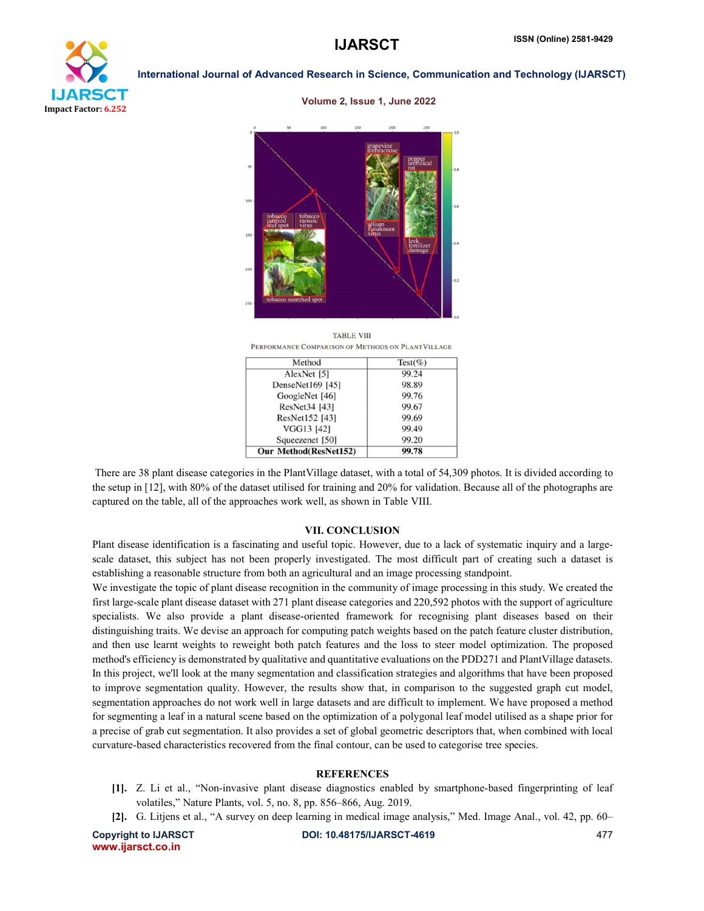

Volume 2, Issue 1, June 2022



**TARLE VIII** PERFORMANCE COMPARISON OF METHODS ON PLANTVILLAGE

| Method                | Test(%) |
|-----------------------|---------|
| AlexNet [5]           | 99.24   |
| DenseNet169 [45]      | 98.89   |
| GoogleNet [46]        | 99.76   |
| ResNet34 [43]         | 99.67   |
| ResNet152 [43]        | 99.69   |
| VGG13 [42]            | 99.49   |
| Squeezenet [50]       | 99.20   |
| Our Method(ResNet152) | 99.78   |

There are 38 plant disease categories in the PlantVillage dataset, with a total of 54,309 photos. It is divided according to the setup in [12], with 80% of the dataset utilised for training and 20% for validation. Because all of the photographs are captured on the table, all of the approaches work well, as shown in Table VIII.

### VII. CONCLUSION

Plant disease identification is a fascinating and useful topic. However, due to a lack of systematic inquiry and a largescale dataset, this subject has not been properly investigated. The most difficult part of creating such a dataset is establishing a reasonable structure from both an agricultural and an image processing standpoint.

We investigate the topic of plant disease recognition in the community of image processing in this study. We created the first large-scale plant disease dataset with 271 plant disease categories and 220,592 photos with the support of agriculture specialists. We also provide a plant disease-oriented framework for recognising plant diseases based on their distinguishing traits. We devise an approach for computing patch weights based on the patch feature cluster distribution, and then use learnt weights to reweight both patch features and the loss to steer model optimization. The proposed method's efficiency is demonstrated by qualitative and quantitative evaluations on the PDD271 and PlantVillage datasets. In this project, we'll look at the many segmentation and classification strategies and algorithms that have been proposed to improve segmentation quality. However, the results show that, in comparison to the suggested graph cut model, segmentation approaches do not work well in large datasets and are difficult to implement. We have proposed a method for segmenting a leaf in a natural scene based on the optimization of a polygonal leaf model utilised as a shape prior for a precise of grab cut segmentation. It also provides a set of global geometric descriptors that, when combined with local curvature-based characteristics recovered from the final contour, can be used to categorise tree species.

### **REFERENCES**

- [1]. Z. Li et al., "Non-invasive plant disease diagnostics enabled by smartphone-based fingerprinting of leaf volatiles," Nature Plants, vol. 5, no. 8, pp. 856–866, Aug. 2019.
- [2]. G. Litjens et al., "A survey on deep learning in medical image analysis," Med. Image Anal., vol. 42, pp. 60–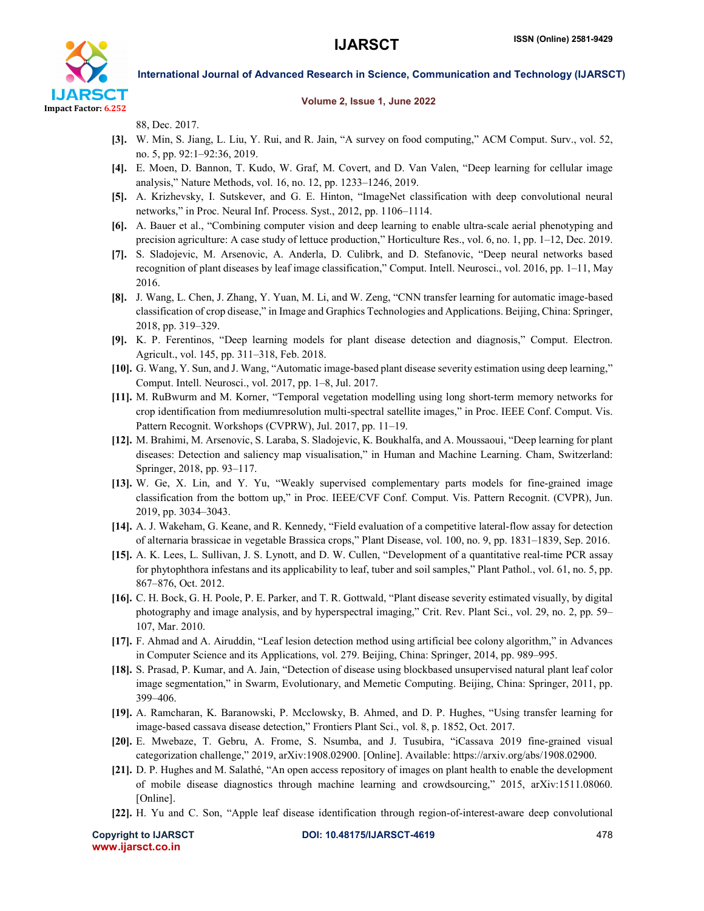

### Volume 2, Issue 1, June 2022

88, Dec. 2017.

- [3]. W. Min, S. Jiang, L. Liu, Y. Rui, and R. Jain, "A survey on food computing," ACM Comput. Surv., vol. 52, no. 5, pp. 92:1–92:36, 2019.
- [4]. E. Moen, D. Bannon, T. Kudo, W. Graf, M. Covert, and D. Van Valen, "Deep learning for cellular image analysis," Nature Methods, vol. 16, no. 12, pp. 1233–1246, 2019.
- [5]. A. Krizhevsky, I. Sutskever, and G. E. Hinton, "ImageNet classification with deep convolutional neural networks," in Proc. Neural Inf. Process. Syst., 2012, pp. 1106–1114.
- [6]. A. Bauer et al., "Combining computer vision and deep learning to enable ultra-scale aerial phenotyping and precision agriculture: A case study of lettuce production," Horticulture Res., vol. 6, no. 1, pp. 1–12, Dec. 2019.
- [7]. S. Sladojevic, M. Arsenovic, A. Anderla, D. Culibrk, and D. Stefanovic, "Deep neural networks based recognition of plant diseases by leaf image classification," Comput. Intell. Neurosci., vol. 2016, pp. 1–11, May 2016.
- [8]. J. Wang, L. Chen, J. Zhang, Y. Yuan, M. Li, and W. Zeng, "CNN transfer learning for automatic image-based classification of crop disease," in Image and Graphics Technologies and Applications. Beijing, China: Springer, 2018, pp. 319–329.
- [9]. K. P. Ferentinos, "Deep learning models for plant disease detection and diagnosis," Comput. Electron. Agricult., vol. 145, pp. 311–318, Feb. 2018.
- [10]. G. Wang, Y. Sun, and J. Wang, "Automatic image-based plant disease severity estimation using deep learning," Comput. Intell. Neurosci., vol. 2017, pp. 1–8, Jul. 2017.
- [11]. M. RuBwurm and M. Korner, "Temporal vegetation modelling using long short-term memory networks for crop identification from mediumresolution multi-spectral satellite images," in Proc. IEEE Conf. Comput. Vis. Pattern Recognit. Workshops (CVPRW), Jul. 2017, pp. 11–19.
- [12]. M. Brahimi, M. Arsenovic, S. Laraba, S. Sladojevic, K. Boukhalfa, and A. Moussaoui, "Deep learning for plant diseases: Detection and saliency map visualisation," in Human and Machine Learning. Cham, Switzerland: Springer, 2018, pp. 93–117.
- [13]. W. Ge, X. Lin, and Y. Yu, "Weakly supervised complementary parts models for fine-grained image classification from the bottom up," in Proc. IEEE/CVF Conf. Comput. Vis. Pattern Recognit. (CVPR), Jun. 2019, pp. 3034–3043.
- [14]. A. J. Wakeham, G. Keane, and R. Kennedy, "Field evaluation of a competitive lateral-flow assay for detection of alternaria brassicae in vegetable Brassica crops," Plant Disease, vol. 100, no. 9, pp. 1831–1839, Sep. 2016.
- [15]. A. K. Lees, L. Sullivan, J. S. Lynott, and D. W. Cullen, "Development of a quantitative real-time PCR assay for phytophthora infestans and its applicability to leaf, tuber and soil samples," Plant Pathol., vol. 61, no. 5, pp. 867–876, Oct. 2012.
- [16]. C. H. Bock, G. H. Poole, P. E. Parker, and T. R. Gottwald, "Plant disease severity estimated visually, by digital photography and image analysis, and by hyperspectral imaging," Crit. Rev. Plant Sci., vol. 29, no. 2, pp. 59– 107, Mar. 2010.
- [17]. F. Ahmad and A. Airuddin, "Leaf lesion detection method using artificial bee colony algorithm," in Advances in Computer Science and its Applications, vol. 279. Beijing, China: Springer, 2014, pp. 989–995.
- [18]. S. Prasad, P. Kumar, and A. Jain, "Detection of disease using blockbased unsupervised natural plant leaf color image segmentation," in Swarm, Evolutionary, and Memetic Computing. Beijing, China: Springer, 2011, pp. 399–406.
- [19]. A. Ramcharan, K. Baranowski, P. Mcclowsky, B. Ahmed, and D. P. Hughes, "Using transfer learning for image-based cassava disease detection," Frontiers Plant Sci., vol. 8, p. 1852, Oct. 2017.
- [20]. E. Mwebaze, T. Gebru, A. Frome, S. Nsumba, and J. Tusubira, "iCassava 2019 fine-grained visual categorization challenge," 2019, arXiv:1908.02900. [Online]. Available: https://arxiv.org/abs/1908.02900.
- [21]. D. P. Hughes and M. Salathé, "An open access repository of images on plant health to enable the development of mobile disease diagnostics through machine learning and crowdsourcing," 2015, arXiv:1511.08060. [Online].
- [22]. H. Yu and C. Son, "Apple leaf disease identification through region-of-interest-aware deep convolutional